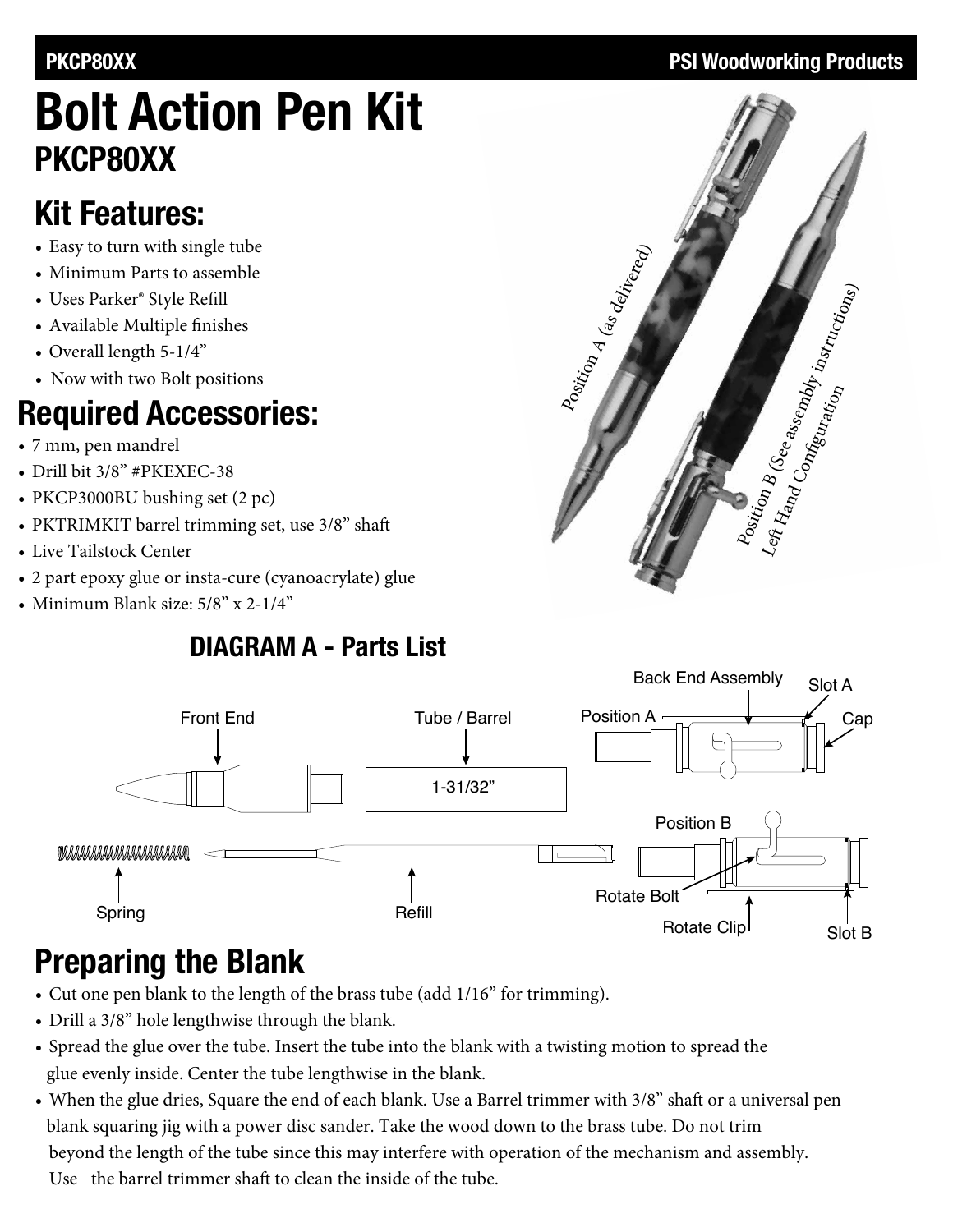# **Bolt Action Pen Kit PKCP80XX**

## **Kit Features:**

- Easy to turn with single tube
- Minimum Parts to assemble
- • Uses Parker® Style Refill
- • Available Multiple finishes
- Overall length  $5-1/4$ "
- Now with two Bolt positions

## **Required Accessories:**

- • 7 mm, pen mandrel
- Drill bit 3/8" #PKEXEC-38
- PKCP3000BU bushing set (2 pc)
- PKTRIMKIT barrel trimming set, use 3/8" shaft
- Live Tailstock Center
- 2 part epoxy glue or insta-cure (cyanoacrylate) glue
- Minimum Blank size:  $5/8$ " x  $2-1/4$ "

### **DIAGRAM A - Parts List**



# **Preparing the Blank**

- Cut one pen blank to the length of the brass tube (add 1/16" for trimming).
- Drill a 3/8" hole lengthwise through the blank.
- Spread the glue over the tube. Insert the tube into the blank with a twisting motion to spread the glue evenly inside. Center the tube lengthwise in the blank.
- When the glue dries, Square the end of each blank. Use a Barrel trimmer with 3/8" shaft or a universal pen blank squaring jig with a power disc sander. Take the wood down to the brass tube. Do not trim beyond the length of the tube since this may interfere with operation of the mechanism and assembly. Use the barrel trimmer shaft to clean the inside of the tube.

### **PKCP80XX** PRI Woodworking Products